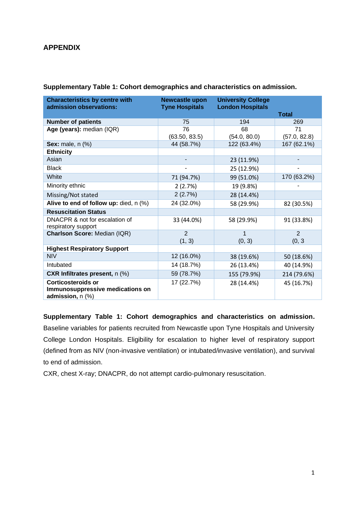# **APPENDIX**

| <b>Characteristics by centre with</b><br>admission observations:                       | <b>Newcastle upon</b><br><b>Tyne Hospitals</b> | <b>University College</b><br><b>London Hospitals</b> |                          |
|----------------------------------------------------------------------------------------|------------------------------------------------|------------------------------------------------------|--------------------------|
|                                                                                        |                                                |                                                      | <b>Total</b>             |
| <b>Number of patients</b>                                                              | 75                                             | 194                                                  | 269                      |
| Age (years): median (IQR)                                                              | 76                                             | 68                                                   | 71                       |
|                                                                                        | (63.50, 83.5)                                  | (54.0, 80.0)                                         | (57.0, 82.8)             |
| <b>Sex:</b> male, n (%)                                                                | 44 (58.7%)                                     | 122 (63.4%)                                          | 167 (62.1%)              |
| <b>Ethnicity</b>                                                                       |                                                |                                                      |                          |
| Asian                                                                                  |                                                | 23 (11.9%)                                           |                          |
| <b>Black</b>                                                                           |                                                | 25 (12.9%)                                           | $\overline{\phantom{a}}$ |
| White                                                                                  | 71 (94.7%)                                     | 99 (51.0%)                                           | 170 (63.2%)              |
| Minority ethnic                                                                        | 2(2.7%)                                        | 19 (9.8%)                                            |                          |
| Missing/Not stated                                                                     | 2(2.7%)                                        | 28 (14.4%)                                           |                          |
| Alive to end of follow up: died, n (%)                                                 | 24 (32.0%)                                     | 58 (29.9%)                                           | 82 (30.5%)               |
| <b>Resuscitation Status</b>                                                            |                                                |                                                      |                          |
| DNACPR & not for escalation of<br>respiratory support                                  | 33 (44.0%)                                     | 58 (29.9%)                                           | 91 (33.8%)               |
| Charlson Score: Median (IQR)                                                           | $\overline{2}$                                 | 1                                                    | $\overline{2}$           |
|                                                                                        | (1, 3)                                         | (0, 3)                                               | (0, 3)                   |
| <b>Highest Respiratory Support</b>                                                     |                                                |                                                      |                          |
| <b>NIV</b>                                                                             | 12 (16.0%)                                     | 38 (19.6%)                                           | 50 (18.6%)               |
| Intubated                                                                              | 14 (18.7%)                                     | 26 (13.4%)                                           | 40 (14.9%)               |
| <b>CXR Infiltrates present, n (%)</b>                                                  | 59 (78.7%)                                     | 155 (79.9%)                                          | 214 (79.6%)              |
| <b>Corticosteroids or</b><br>Immunosuppressive medications on<br>admission, $n$ $(\%)$ | 17 (22.7%)                                     | 28 (14.4%)                                           | 45 (16.7%)               |

**Supplementary Table 1: Cohort demographics and characteristics on admission.**

**Supplementary Table 1: Cohort demographics and characteristics on admission.** Baseline variables for patients recruited from Newcastle upon Tyne Hospitals and University College London Hospitals. Eligibility for escalation to higher level of respiratory support (defined from as NIV (non-invasive ventilation) or intubated/invasive ventilation), and survival to end of admission.

CXR, chest X-ray; DNACPR, do not attempt cardio-pulmonary resuscitation.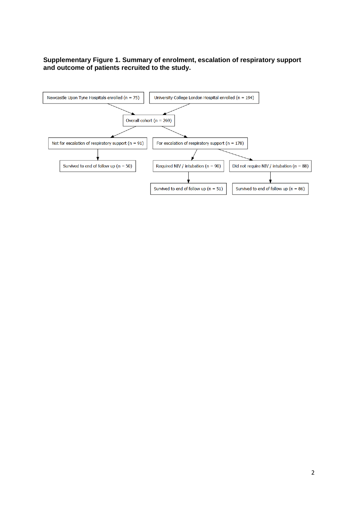## **Supplementary Figure 1. Summary of enrolment, escalation of respiratory support and outcome of patients recruited to the study.**

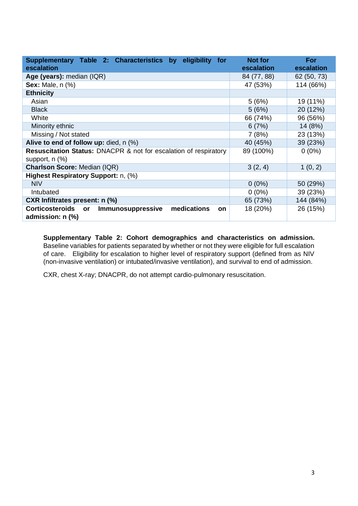| Supplementary Table 2: Characteristics by<br>eligibility<br>for<br>escalation                      | <b>Not for</b><br>escalation | For<br>escalation |
|----------------------------------------------------------------------------------------------------|------------------------------|-------------------|
| Age (years): median (IQR)                                                                          | 84 (77, 88)                  | 62 (50, 73)       |
| <b>Sex:</b> Male, n (%)                                                                            | 47 (53%)                     | 114 (66%)         |
| <b>Ethnicity</b>                                                                                   |                              |                   |
| Asian                                                                                              | 5(6%)                        | 19 (11%)          |
| <b>Black</b>                                                                                       | 5(6%)                        | 20 (12%)          |
| White                                                                                              | 66 (74%)                     | 96 (56%)          |
| Minority ethnic                                                                                    | 6(7%)                        | 14 (8%)           |
| Missing / Not stated                                                                               | 7(8%)                        | 23 (13%)          |
| Alive to end of follow up: died, n (%)                                                             | 40 (45%)                     | 39 (23%)          |
| <b>Resuscitation Status: DNACPR &amp; not for escalation of respiratory</b><br>support, $n$ $(\%)$ | 89 (100%)                    | $0(0\%)$          |
| <b>Charlson Score: Median (IQR)</b>                                                                | 3(2, 4)                      | 1(0, 2)           |
| Highest Respiratory Support: n, (%)                                                                |                              |                   |
| <b>NIV</b>                                                                                         | $0(0\%)$                     | 50 (29%)          |
| Intubated                                                                                          | $0(0\%)$                     | 39 (23%)          |
| CXR Infiltrates present: n (%)                                                                     | 65 (73%)                     | 144 (84%)         |
| medications<br><b>Corticosteroids</b><br>Immunosuppressive<br>or<br>on<br>admission: n (%)         | 18 (20%)                     | 26 (15%)          |

**Supplementary Table 2: Cohort demographics and characteristics on admission.** Baseline variables for patients separated by whether or not they were eligible for full escalation of care. Eligibility for escalation to higher level of respiratory support (defined from as NIV (non-invasive ventilation) or intubated/invasive ventilation), and survival to end of admission.

CXR, chest X-ray; DNACPR, do not attempt cardio-pulmonary resuscitation.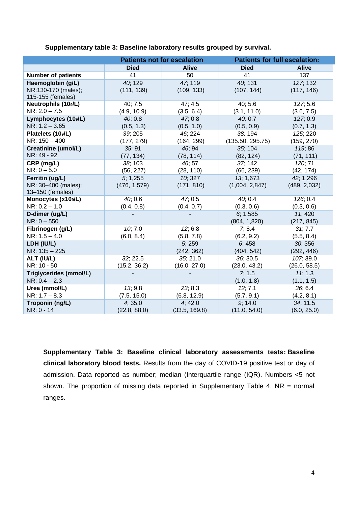|                            | <b>Patients not for escalation</b> |               |                  | <b>Patients for full escalation:</b> |
|----------------------------|------------------------------------|---------------|------------------|--------------------------------------|
|                            | <b>Died</b>                        | <b>Alive</b>  | <b>Died</b>      | <b>Alive</b>                         |
| <b>Number of patients</b>  | 41                                 | 50            | 41               | 137                                  |
| Haemoglobin (g/L)          | 40; 129                            | 47; 119       | 40; 131          | 127; 132                             |
| NR:130-170 (males);        | (111, 139)                         | (109, 133)    | (107, 144)       | (117, 146)                           |
| 115-155 (females)          |                                    |               |                  |                                      |
| <b>Neutrophils (10s/L)</b> | 40; 7.5                            | 47; 4.5       | 40; 5.6          | 127; 5.6                             |
| $NR: 2.0 - 7.5$            | (4.9, 10.9)                        | (3.5, 6.4)    | (3.1, 11.0)      | (3.6, 7.5)                           |
| Lymphocytes (109/L)        | 40; 0.8                            | 47; 0.8       | 40;0.7           | 127; 0.9                             |
| $NR: 1.2 - 3.65$           | (0.5, 1.3)                         | (0.5, 1.0)    | (0.5, 0.9)       | (0.7, 1.3)                           |
| Platelets (109/L)          | 39; 205                            | 46; 224       | 38; 194          | 125; 220                             |
| NR: 150 - 400              | (177, 279)                         | (164, 299)    | (135.50, 295.75) | (159, 270)                           |
| <b>Creatinine (umol/L)</b> | 35; 91                             | 46; 94        | 35; 104          | 119; 86                              |
| NR: 49 - 92                | (77, 134)                          | (78, 114)     | (82, 124)        | (71, 111)                            |
| CRP (mg/L)                 | 38; 103                            | 46; 57        | 37; 142          | 120; 71                              |
| $NR: 0 - 5.0$              | (56, 227)                          | (28, 110)     | (66, 239)        | (42, 174)                            |
| Ferritin (ug/L)            | 5:1,255                            | 10; 327       | 13; 1,673        | 42; 1,296                            |
| NR: 30-400 (males);        | (476, 1,579)                       | (171, 810)    | (1,004, 2,847)   | (489, 2,032)                         |
| 13-150 (females)           |                                    |               |                  |                                      |
| Monocytes (x10s/L)         | 40; 0.6                            | 47, 0.5       | 40; 0.4          | 126; 0.4                             |
| $NR: 0.2 - 1.0$            | (0.4, 0.8)                         | (0.4, 0.7)    | (0.3, 0.6)       | (0.3, 0.6)                           |
| D-dimer (ug/L)             |                                    |               | 6; 1,585         | 11; 420                              |
| $NR: 0 - 550$              |                                    |               | (804, 1,820)     | (217, 845)                           |
| Fibrinogen (g/L)           | 10; 7.0                            | 12; 6.8       | 7; 8.4           | 31; 7.7                              |
| $NR: 1.5 - 4.0$            | (6.0, 8.4)                         | (5.8, 7.8)    | (6.2, 9.2)       | (5.5, 8.4)                           |
| LDH (IU/L)                 |                                    | 5; 259        | 6; 458           | 30; 356                              |
| NR: 135 - 225              |                                    | (242, 362)    | (404, 542)       | (292, 446)                           |
| ALT (IU/L)                 | 32; 22.5                           | 35; 21.0      | 36; 30.5         | 107; 39.0                            |
| NR: 10 - 50                | (15.2, 36.2)                       | (16.0, 27.0)  | (23.0, 43.2)     | (26.0, 58.5)                         |
| Triglycerides (mmol/L)     |                                    |               | 7; 1.5           | 11; 1.3                              |
| $NR: 0.4 - 2.3$            |                                    |               | (1.0, 1.8)       | (1.1, 1.5)                           |
| Urea (mmol/L)              | 13; 9.8                            | 23, 8.3       | 12; 7.1          | 36; 6.4                              |
| $NR: 1.7 - 8.3$            | (7.5, 15.0)                        | (6.8, 12.9)   | (5.7, 9.1)       | (4.2, 8.1)                           |
| Troponin (ng/L)            | 4; 35.0                            | 4;42.0        | 9; 14.0          | 34; 11.5                             |
| NR: 0 - 14                 | (22.8, 88.0)                       | (33.5, 169.8) | (11.0, 54.0)     | (6.0, 25.0)                          |

**Supplementary table 3: Baseline laboratory results grouped by survival.** 

**Supplementary Table 3: Baseline clinical laboratory assessments tests: Baseline clinical laboratory blood tests.** Results from the day of COVID-19 positive test or day of admission. Data reported as number; median (Interquartile range (IQR). Numbers <5 not shown. The proportion of missing data reported in Supplementary Table 4. NR = normal ranges.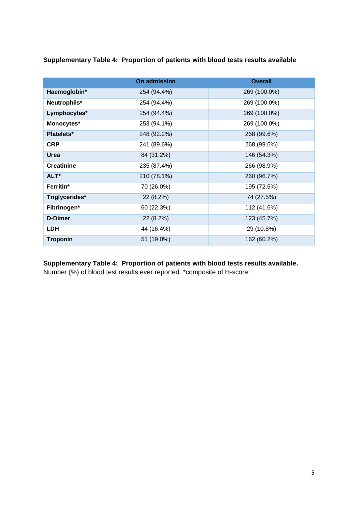**Supplementary Table 4: Proportion of patients with blood tests results available**

|                   | <b>On admission</b> | <b>Overall</b> |
|-------------------|---------------------|----------------|
| Haemoglobin*      | 254 (94.4%)         | 269 (100.0%)   |
| Neutrophils*      | 254 (94.4%)         | 269 (100.0%)   |
| Lymphocytes*      | 254 (94.4%)         | 269 (100.0%)   |
| Monocytes*        | 253 (94.1%)         | 269 (100.0%)   |
| Platelets*        | 248 (92.2%)         | 268 (99.6%)    |
| <b>CRP</b>        | 241 (89.6%)         | 268 (99.6%)    |
| <b>Urea</b>       | 84 (31.2%)          | 146 (54.3%)    |
| <b>Creatinine</b> | 235 (87.4%)         | 266 (98.9%)    |
| ALT*              | 210 (78.1%)         | 260 (96.7%)    |
| Ferritin*         | 70 (26.0%)          | 195 (72.5%)    |
| Triglycerides*    | 22(8.2%)            | 74 (27.5%)     |
| Fibrinogen*       | 60 (22.3%)          | 112 (41.6%)    |
| <b>D-Dimer</b>    | 22 (8.2%)           | 123 (45.7%)    |
| <b>LDH</b>        | 44 (16.4%)          | 29 (10.8%)     |
| <b>Troponin</b>   | 51 (19.0%)          | 162 (60.2%)    |

**Supplementary Table 4: Proportion of patients with blood tests results available.**

Number (%) of blood test results ever reported. \*composite of H-score.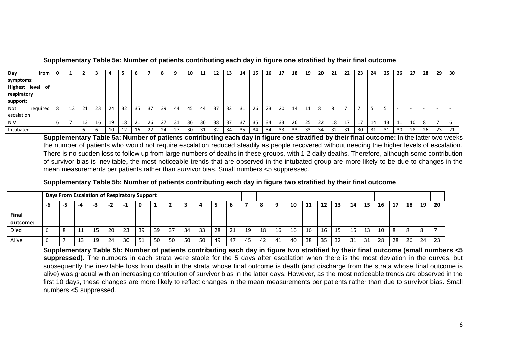| Day<br>from      | 0      | 7<br>▴ | 3  |    |    | 6       |    | o  |    | 10 | 11 | 12  | 13  | 14 | 15 | 16 | 17 | 18  | 19       | 20 | 21 | 22 | -23              | 24  | 25 | 26                       | 27     | 28           | 29     | 30 |
|------------------|--------|--------|----|----|----|---------|----|----|----|----|----|-----|-----|----|----|----|----|-----|----------|----|----|----|------------------|-----|----|--------------------------|--------|--------------|--------|----|
| symptoms:        |        |        |    |    |    |         |    |    |    |    |    |     |     |    |    |    |    |     |          |    |    |    |                  |     |    |                          |        |              |        |    |
| Highest level of |        |        |    |    |    |         |    |    |    |    |    |     |     |    |    |    |    |     |          |    |    |    |                  |     |    |                          |        |              |        |    |
| respiratory      |        |        |    |    |    |         |    |    |    |    |    |     |     |    |    |    |    |     |          |    |    |    |                  |     |    |                          |        |              |        |    |
| support:         |        |        |    |    |    |         |    |    |    |    |    |     |     |    |    |    |    |     |          |    |    |    |                  |     |    |                          |        |              |        |    |
| required<br>Not  | -8     | 21     | 23 | 24 | 32 | -35     | 37 | 39 | 44 | 45 | 44 | -37 | 32  | 31 | 26 | 23 | 20 | 14  | 11       |    |    |    |                  |     |    | $\overline{\phantom{a}}$ | $\sim$ |              | $\sim$ |    |
| escalation       |        |        |    |    |    |         |    |    |    |    |    |     |     |    |    |    |    |     |          |    |    |    |                  |     |    |                          |        |              |        |    |
| <b>NIV</b>       | b      | 13     | 16 | 19 | 18 | 21<br>ᅩ | 26 | 27 | 31 | 36 | 36 | 38  | -37 | 37 | 35 | 34 | 33 | 26  | つに<br>رے | 22 | 18 | 17 | 17<br><u>. д</u> | 14  |    | ᅭ                        | 10     | o<br>$\circ$ |        |    |
| Intubated        | $\sim$ | b      |    | 10 | 12 | 16      | ᅩ  | 24 | 27 | 30 | 31 | -32 | 34  | 35 | 34 | 34 | 33 | -33 | 33       | 34 | 32 | 31 | 30               | -31 | 31 | 30                       | 28     | 26           | 23     | 21 |

### **Supplementary Table 5a: Number of patients contributing each day in figure one stratified by their final outcome**

**Supplementary Table 5a: Number of patients contributing each day in figure one stratified by their final outcome:** In the latter two weeks the number of patients who would not require escalation reduced steadily as people recovered without needing the higher levels of escalation. There is no sudden loss to follow up from large numbers of deaths in these groups, with 1-2 daily deaths. Therefore, although some contribution of survivor bias is inevitable, the most noticeable trends that are observed in the intubated group are more likely to be due to changes in the mean measurements per patients rather than survivor bias. Small numbers <5 suppressed.

#### **Supplementary Table 5b: Number of patients contributing each day in figure two stratified by their final outcome**

| Days From Escalation of Respiratory Support |    |     |               |    |    |    |    |    |    |    |    |    |    |    |    |    |    |    |    |    |    |    |    |    |    |              |    |
|---------------------------------------------|----|-----|---------------|----|----|----|----|----|----|----|----|----|----|----|----|----|----|----|----|----|----|----|----|----|----|--------------|----|
|                                             | -6 | - 1 | -4            | -3 | -2 | -1 |    |    |    |    |    |    | o  |    |    |    | 10 | 11 | 12 | 13 | 14 | 15 | 16 | 17 | 18 | 19           | 20 |
| Final<br>outcome:                           |    |     |               |    |    |    |    |    |    |    |    |    |    |    |    |    |    |    |    |    |    |    |    |    |    |              |    |
| Died                                        | b  |     | <u>. на с</u> | 15 | 20 | 23 | 39 | 39 | 37 | 34 | 33 | 28 | 21 | 19 | 18 | 16 | 16 | 16 | 16 | 15 | 15 | 13 |    | 8  | 8  | $\circ$<br>c |    |
| Alive                                       | b  |     |               | 19 | 24 | 30 |    | 50 | 50 | 50 | 50 | 49 | 47 | 45 | 42 | 41 | 40 | 38 | 35 | 32 | 31 | 31 | 28 | 28 | 26 | 24           | 23 |

**Supplementary Table 5b: Number of patients contributing each day in figure two stratified by their final outcome (small numbers <5 suppressed).** The numbers in each strata were stable for the 5 days after escalation when there is the most deviation in the curves, but subsequently the inevitable loss from death in the strata whose final outcome is death (and discharge from the strata whose final outcome is alive) was gradual with an increasing contribution of survivor bias in the latter days. However, as the most noticeable trends are observed in the first 10 days, these changes are more likely to reflect changes in the mean measurements per patients rather than due to survivor bias. Small numbers <5 suppressed.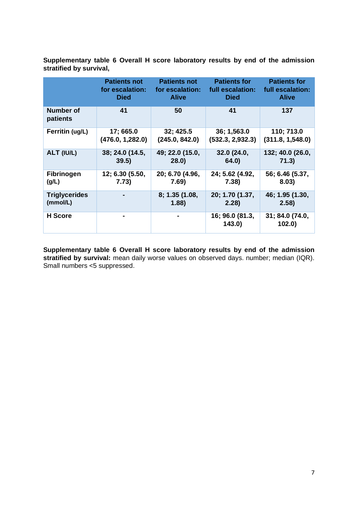|                       | <b>Patients not</b> | <b>Patients not</b> | <b>Patients for</b>       | <b>Patients for</b>      |
|-----------------------|---------------------|---------------------|---------------------------|--------------------------|
|                       | for escalation:     | for escalation:     | full escalation:          | full escalation:         |
|                       | <b>Died</b>         | <b>Alive</b>        | <b>Died</b>               | <b>Alive</b>             |
| Number of<br>patients | 41                  | 50                  | 41                        | 137                      |
| Ferritin (ug/L)       | 17; 665.0           | 32; 425.5           | 36; 1,563.0               | 110; 713.0               |
|                       | (476.0, 1,282.0)    | (245.0, 842.0)      | (532.3, 2,932.3)          | (311.8, 1,548.0)         |
| ALT (IU/L)            | 38, 24.0 (14.5,     | 49, 22.0 (15.0,     | 32.0 (24.0,               | 132; 40.0 (26.0,         |
|                       | 39.5)               | 28.0)               | 64.0)                     | 71.3)                    |
| <b>Fibrinogen</b>     | 12; 6.30 (5.50,     | 20; 6.70 (4.96,     | 24; 5.62 (4.92,           | 56; 6.46 (5.37,          |
| (g/L)                 | 7.73)               | 7.69)               | 7.38)                     | 8.03)                    |
| <b>Triglycerides</b>  |                     | 8; 1.35(1.08,       | 20; 1.70 (1.37,           | 46; 1.95 (1.30,          |
| (mmol/L)              |                     | 1.88)               | 2.28)                     | 2.58)                    |
| <b>H</b> Score        |                     |                     | 16; 96.0 (81.3,<br>143.0) | 31; 84.0 (74.0,<br>102.0 |

**Supplementary table 6 Overall H score laboratory results by end of the admission stratified by survival,** 

**Supplementary table 6 Overall H score laboratory results by end of the admission**  stratified by survival: mean daily worse values on observed days. number; median (IQR). Small numbers <5 suppressed.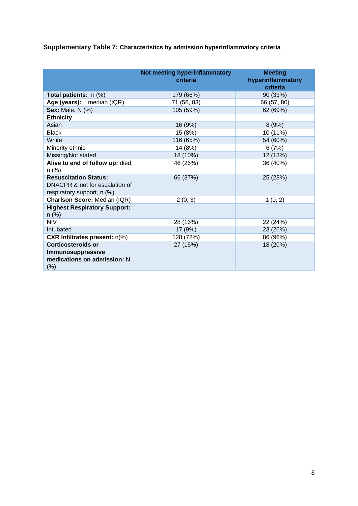|                                                                                              | Not meeting hyperinflammatory<br>criteria | <b>Meeting</b><br>hyperinflammatory<br>criteria |
|----------------------------------------------------------------------------------------------|-------------------------------------------|-------------------------------------------------|
| <b>Total patients:</b> $n$ (%)                                                               | 179 (66%)                                 | 90 (33%)                                        |
| Age (years): median (IQR)                                                                    | 71 (56, 83)                               | 66 (57, 80)                                     |
| <b>Sex: Male. N (%)</b>                                                                      | 105 (59%)                                 | 62 (69%)                                        |
| <b>Ethnicity</b>                                                                             |                                           |                                                 |
| Asian                                                                                        | 16 (9%)                                   | 8(9%)                                           |
| <b>Black</b>                                                                                 | 15 (8%)                                   | 10 (11%)                                        |
| White                                                                                        | 116 (65%)                                 | 54 (60%)                                        |
| Minority ethnic                                                                              | 14 (8%)                                   | 6(7%)                                           |
| Missing/Not stated                                                                           | 18 (10%)                                  | 12 (13%)                                        |
| Alive to end of follow up: died,<br>n (%)                                                    | 46 (26%)                                  | 36 (40%)                                        |
| <b>Resuscitation Status:</b><br>DNACPR & not for escalation of<br>respiratory support, n (%) | 66 (37%)                                  | 25 (28%)                                        |
| Charlson Score: Median (IQR)                                                                 | 2(0, 3)                                   | 1(0, 2)                                         |
| <b>Highest Respiratory Support:</b><br>$n$ (%)                                               |                                           |                                                 |
| NIV                                                                                          | 28 (16%)                                  | 22 (24%)                                        |
| Intubated                                                                                    | 17 (9%)                                   | 23 (26%)                                        |
| <b>CXR Infiltrates present: n(%)</b>                                                         | 128 (72%)                                 | 86 (96%)                                        |
| <b>Corticosteroids or</b><br>Immunosuppressive<br>medications on admission: N<br>$(\%)$      | 27 (15%)                                  | 18 (20%)                                        |

**Supplementary Table 7: Characteristics by admission hyperinflammatory criteria**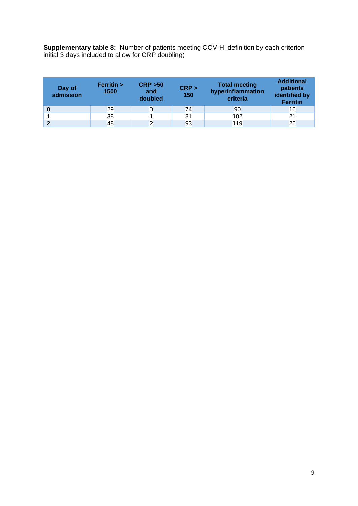**Supplementary table 8:** Number of patients meeting COV-HI definition by each criterion initial 3 days included to allow for CRP doubling)

| Day of<br>admission | Ferritin ><br>1500 | <b>CRP &gt;50</b><br>and<br>doubled | CRP ><br>150 | <b>Total meeting</b><br>hyperinflammation<br>criteria | <b>Additional</b><br>patients<br>identified by<br><b>Ferritin</b> |  |  |  |
|---------------------|--------------------|-------------------------------------|--------------|-------------------------------------------------------|-------------------------------------------------------------------|--|--|--|
|                     | 29                 |                                     | 74           | 90                                                    | 16                                                                |  |  |  |
|                     | 38                 |                                     | 81           | 102                                                   | 21                                                                |  |  |  |
| ◠                   | 48                 |                                     | 93           | 119                                                   | 26                                                                |  |  |  |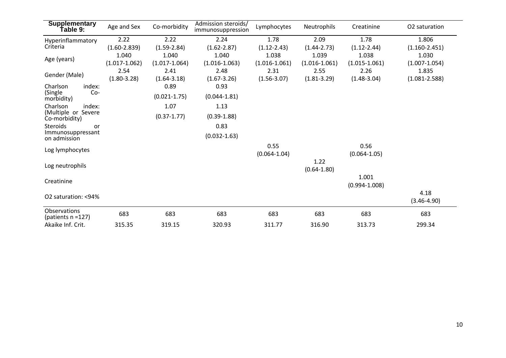| <b>Supplementary</b><br>Table 9:                    | Age and Sex                | Co-morbidity               | Admission steroids/<br>immunosuppression | Lymphocytes                | Neutrophils                | Creatinine                 | O <sub>2</sub> saturation  |
|-----------------------------------------------------|----------------------------|----------------------------|------------------------------------------|----------------------------|----------------------------|----------------------------|----------------------------|
| Hyperinflammatory                                   | 2.22                       | 2.22                       | 2.24                                     | 1.78                       | 2.09                       | 1.78                       | 1.806                      |
| Criteria                                            | $(1.60 - 2.839)$           | $(1.59 - 2.84)$            | $(1.62 - 2.87)$                          | $(1.12 - 2.43)$            | $(1.44 - 2.73)$            | $(1.12 - 2.44)$            | $(1.160 - 2.451)$          |
| Age (years)                                         | 1.040<br>$(1.017 - 1.062)$ | 1.040<br>$(1.017 - 1.064)$ | 1.040<br>$(1.016 - 1.063)$               | 1.038<br>$(1.016 - 1.061)$ | 1.039<br>$(1.016 - 1.061)$ | 1.038<br>$(1.015 - 1.061)$ | 1.030<br>$(1.007 - 1.054)$ |
| Gender (Male)                                       | 2.54<br>$(1.80 - 3.28)$    | 2.41<br>$(1.64 - 3.18)$    | 2.48<br>$(1.67 - 3.26)$                  | 2.31<br>$(1.56 - 3.07)$    | 2.55<br>$(1.81 - 3.29)$    | 2.26<br>$(1.48 - 3.04)$    | 1.835<br>$(1.081 - 2.588)$ |
| index:<br>Charlson<br>(Single<br>Co-<br>morbidity)  |                            | 0.89<br>$(0.021 - 1.75)$   | 0.93<br>$(0.044 - 1.81)$                 |                            |                            |                            |                            |
| Charlson<br>index:                                  |                            | 1.07                       | 1.13                                     |                            |                            |                            |                            |
| (Multiple or Severe<br>Co-morbidity)                |                            | $(0.37 - 1.77)$            | $(0.39 - 1.88)$                          |                            |                            |                            |                            |
| Steroids<br>or<br>Immunosuppressant<br>on admission |                            |                            | 0.83<br>$(0.032 - 1.63)$                 |                            |                            |                            |                            |
| Log lymphocytes                                     |                            |                            |                                          | 0.55<br>$(0.064 - 1.04)$   |                            | 0.56<br>$(0.064 - 1.05)$   |                            |
| Log neutrophils                                     |                            |                            |                                          |                            | 1.22<br>$(0.64 - 1.80)$    |                            |                            |
| Creatinine                                          |                            |                            |                                          |                            |                            | 1.001<br>$(0.994 - 1.008)$ |                            |
| O2 saturation: <94%                                 |                            |                            |                                          |                            |                            |                            | 4.18<br>$(3.46 - 4.90)$    |
| Observations<br>(patients $n = 127$ )               | 683                        | 683                        | 683                                      | 683                        | 683                        | 683                        | 683                        |
| Akaike Inf. Crit.                                   | 315.35                     | 319.15                     | 320.93                                   | 311.77                     | 316.90                     | 313.73                     | 299.34                     |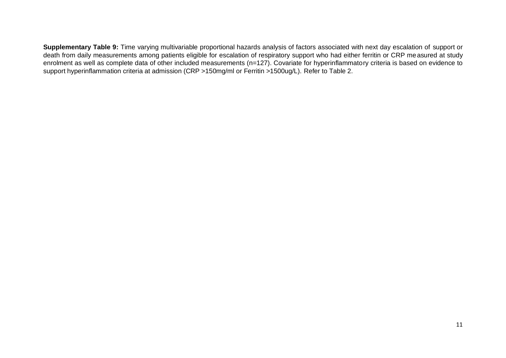**Supplementary Table 9:** Time varying multivariable proportional hazards analysis of factors associated with next day escalation of support or death from daily measurements among patients eligible for escalation of respiratory support who had either ferritin or CRP measured at study enrolment as well as complete data of other included measurements (n=127). Covariate for hyperinflammatory criteria is based on evidence to support hyperinflammation criteria at admission (CRP >150mg/ml or Ferritin >1500ug/L). Refer to Table 2.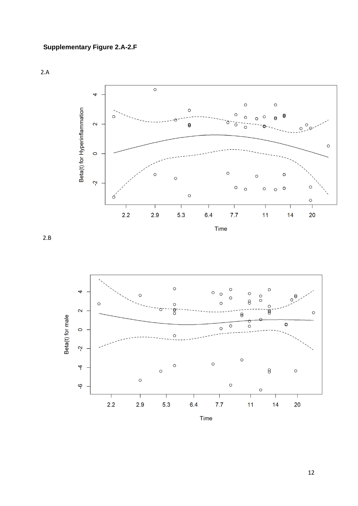2.A





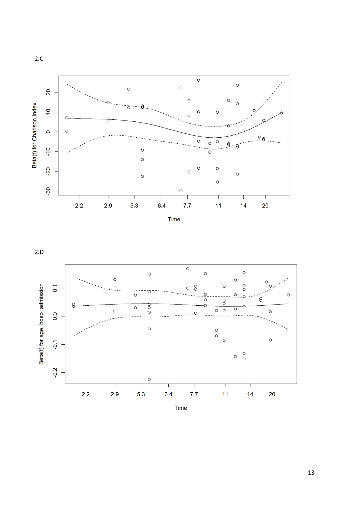



Time



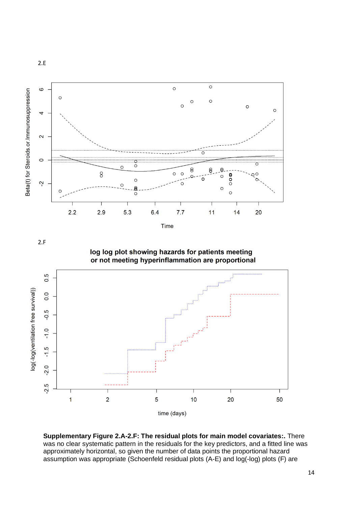

log log plot showing hazards for patients meeting or not meeting hyperinflammation are proportional

2.F

2.E



**Supplementary Figure 2.A-2.F: The residual plots for main model covariates:.** There was no clear systematic pattern in the residuals for the key predictors, and a fitted line was approximately horizontal, so given the number of data points the proportional hazard assumption was appropriate (Schoenfeld residual plots (A-E) and log(-log) plots (F) are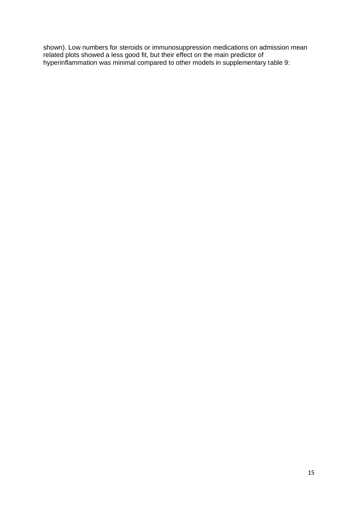shown). Low numbers for steroids or immunosuppression medications on admission mean related plots showed a less good fit, but their effect on the main predictor of hyperinflammation was minimal compared to other models in supplementary table 9: